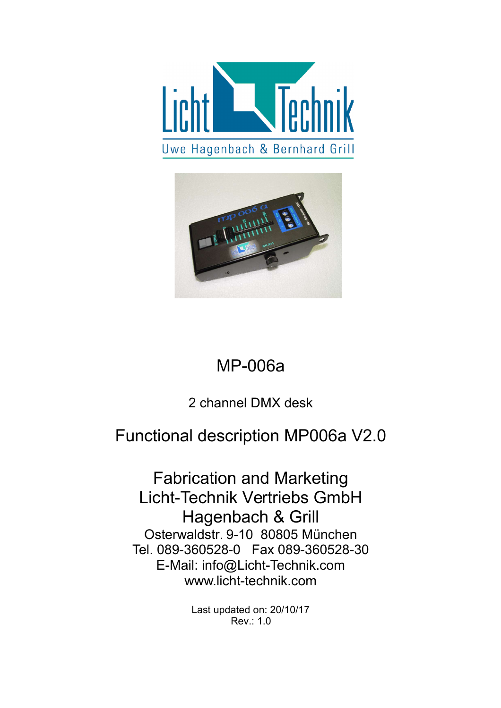



## MP-006a

#### 2 channel DMX desk

## Functional description MP006a V2.0

Fabrication and Marketing Licht-Technik Vertriebs GmbH Hagenbach & Grill Osterwaldstr. 9-10 80805 München Tel. 089-360528-0 Fax 089-360528-30 E-Mail: info@Licht-Technik.com www.licht-technik.com

> Last updated on: 20/10/17 Rev.: 1.0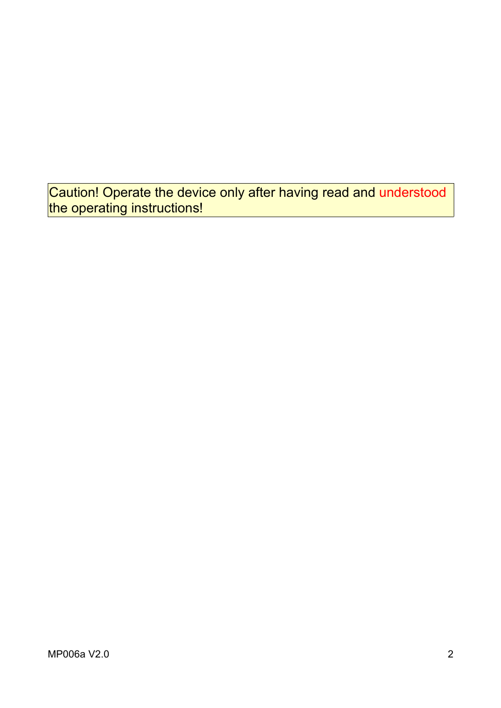Caution! Operate the device only after having read and understood the operating instructions!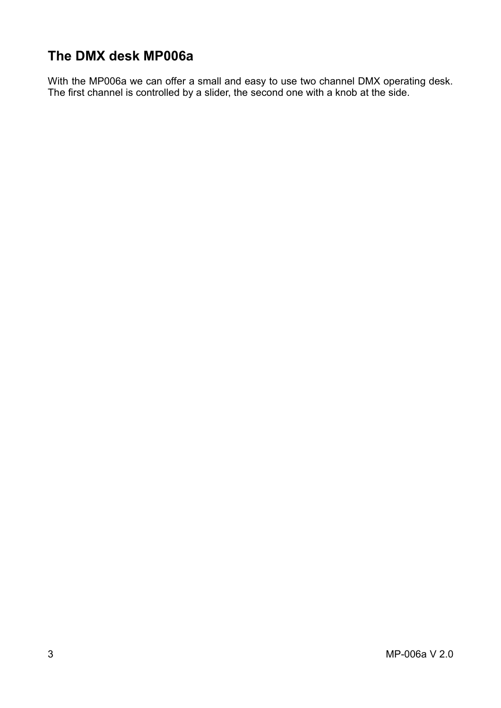#### **The DMX desk MP006a**

With the MP006a we can offer a small and easy to use two channel DMX operating desk. The first channel is controlled by a slider, the second one with a knob at the side.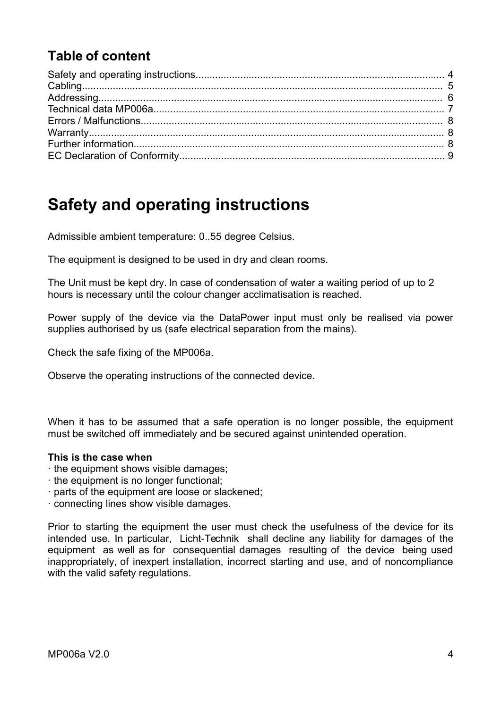#### **Table of content**

### **Safety and operating instructions**

Admissible ambient temperature: 0..55 degree Celsius.

The equipment is designed to be used in dry and clean rooms.

The Unit must be kept dry. In case of condensation of water a waiting period of up to 2 hours is necessary until the colour changer acclimatisation is reached.

Power supply of the device via the DataPower input must only be realised via power supplies authorised by us (safe electrical separation from the mains).

Check the safe fixing of the MP006a.

Observe the operating instructions of the connected device.

When it has to be assumed that a safe operation is no longer possible, the equipment must be switched off immediately and be secured against unintended operation.

#### **This is the case when**

- · the equipment shows visible damages;
- · the equipment is no longer functional;
- · parts of the equipment are loose or slackened;
- · connecting lines show visible damages.

Prior to starting the equipment the user must check the usefulness of the device for its intended use. In particular, Licht-Technik shall decline any liability for damages of the equipment as well as for consequential damages resulting of the device being used inappropriately, of inexpert installation, incorrect starting and use, and of noncompliance with the valid safety regulations.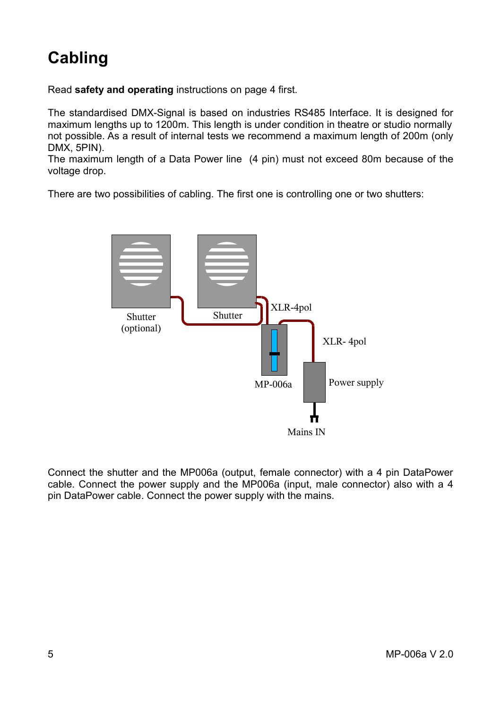# **Cabling**

Read **safety and operating** instructions on page 4 first.

The standardised DMX-Signal is based on industries RS485 Interface. It is designed for maximum lengths up to 1200m. This length is under condition in theatre or studio normally not possible. As a result of internal tests we recommend a maximum length of 200m (only DMX, 5PIN).

The maximum length of a Data Power line (4 pin) must not exceed 80m because of the voltage drop.

There are two possibilities of cabling. The first one is controlling one or two shutters:



Connect the shutter and the MP006a (output, female connector) with a 4 pin DataPower cable. Connect the power supply and the MP006a (input, male connector) also with a 4 pin DataPower cable. Connect the power supply with the mains.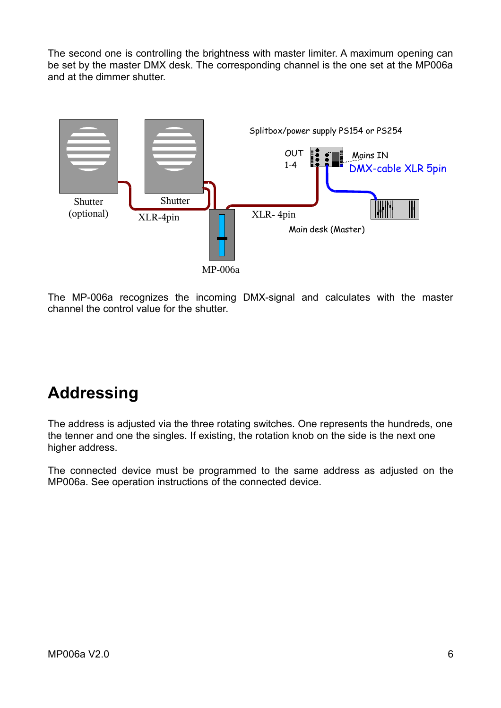The second one is controlling the brightness with master limiter. A maximum opening can be set by the master DMX desk. The corresponding channel is the one set at the MP006a and at the dimmer shutter.



The MP-006a recognizes the incoming DMX-signal and calculates with the master channel the control value for the shutter.

## **Addressing**

The address is adjusted via the three rotating switches. One represents the hundreds, one the tenner and one the singles. If existing, the rotation knob on the side is the next one higher address.

The connected device must be programmed to the same address as adjusted on the MP006a. See operation instructions of the connected device.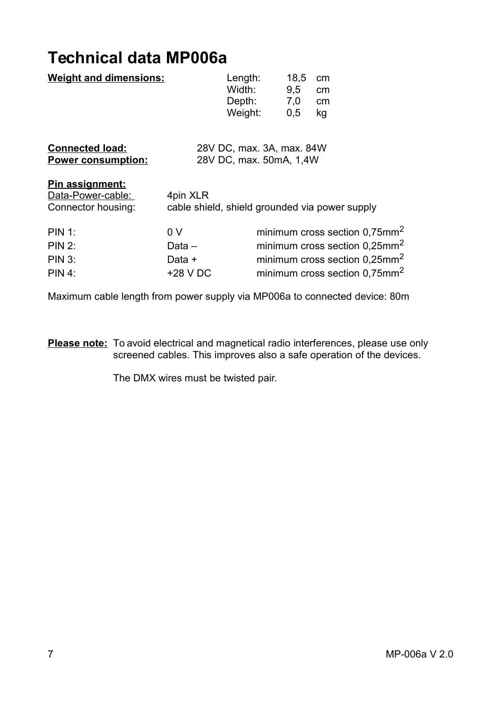### **Technical data MP006a**

| <b>Weight and dimensions:</b>                                     |                                                            | Length:<br>Width:<br>Depth:<br>Weight: | 18,5<br>9.5<br>7,0<br>0,5 | cm<br>cm<br>cm<br>kg      |
|-------------------------------------------------------------------|------------------------------------------------------------|----------------------------------------|---------------------------|---------------------------|
| <b>Connected load:</b><br><b>Power consumption:</b>               | 28V DC, max. 3A, max. 84W<br>28V DC, max. 50mA, 1,4W       |                                        |                           |                           |
| <u>Pin assignment:</u><br>Data-Power-cable:<br>Connector housing: | 4pin XLR<br>cable shield, shield grounded via power supply |                                        |                           |                           |
| <b>PIN 1:</b>                                                     | 0 <sub>V</sub>                                             |                                        |                           | minimum cross section 0,7 |
| <b>PIN 2:</b>                                                     | Data $-$                                                   |                                        |                           | minimum cross section 0,2 |
| <b>PIN 3:</b>                                                     | Data +                                                     |                                        |                           | minimum cross section 0.2 |
| <b>PIN 4:</b>                                                     | +28 V DC                                                   |                                        |                           | minimum cross section 0.7 |

Maximum cable length from power supply via MP006a to connected device: 80m

**Please note:** To avoid electrical and magnetical radio interferences, please use only screened cables. This improves also a safe operation of the devices.

The DMX wires must be twisted pair.

 $0,75$ mm<sup>2</sup>  $0.25$ mm<sup>2</sup>  $0.25$ mm<sup>2</sup>  $0.75$ mm<sup>2</sup>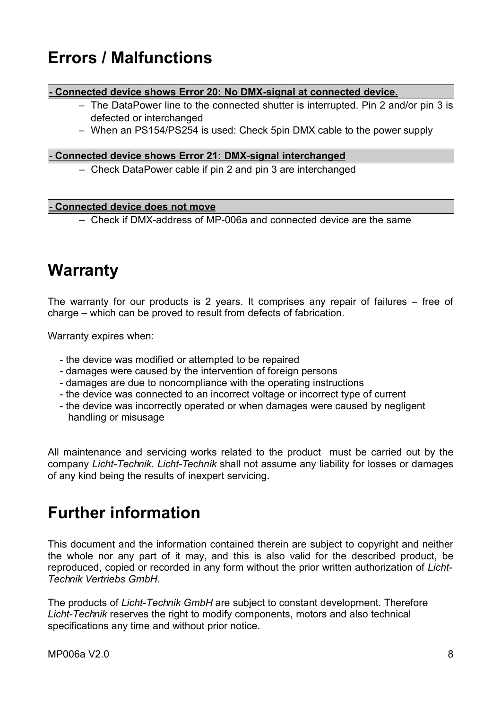### **Errors / Malfunctions**

#### **- Connected device shows Error 20: No DMX-signal at connected device.**

- The DataPower line to the connected shutter is interrupted. Pin 2 and/or pin 3 is defected or interchanged
- When an PS154/PS254 is used: Check 5pin DMX cable to the power supply

#### **- Connected device shows Error 21: DMX-signal interchanged**

– Check DataPower cable if pin 2 and pin 3 are interchanged

#### **- Connected device does not move**

– Check if DMX-address of MP-006a and connected device are the same

#### **Warranty**

The warranty for our products is 2 years. It comprises any repair of failures – free of charge – which can be proved to result from defects of fabrication.

Warranty expires when:

- the device was modified or attempted to be repaired
- damages were caused by the intervention of foreign persons
- damages are due to noncompliance with the operating instructions
- the device was connected to an incorrect voltage or incorrect type of current
- the device was incorrectly operated or when damages were caused by negligent handling or misusage

All maintenance and servicing works related to the product must be carried out by the company *Licht-Technik. Licht-Technik* shall not assume any liability for losses or damages of any kind being the results of inexpert servicing.

#### **Further information**

This document and the information contained therein are subject to copyright and neither the whole nor any part of it may, and this is also valid for the described product, be reproduced, copied or recorded in any form without the prior written authorization of *Licht-Technik Vertriebs GmbH*.

The products of *Licht-Technik GmbH* are subject to constant development. Therefore *Licht-Technik* reserves the right to modify components, motors and also technical specifications any time and without prior notice.